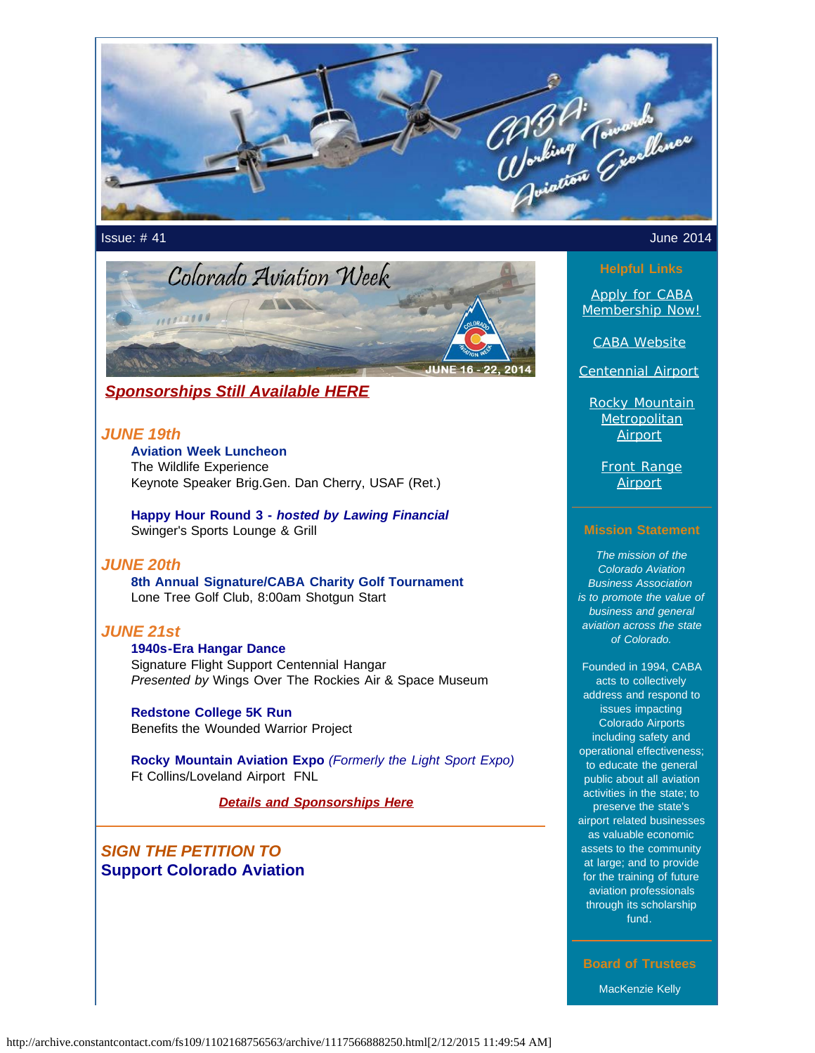

Issue: # 41  $\,$  June 2014  $\,$ 



#### *[Sponsorships Still Available HERE](http://www.mycaba.org/caw?utm_source=Newsletter+June+2014&utm_campaign=June+2014+Newsletter&utm_medium=email)*

#### *JUNE 19th*

**Aviation Week Luncheon** The Wildlife Experience Keynote Speaker Brig.Gen. Dan Cherry, USAF (Ret.)

**Happy Hour Round 3 -** *hosted by Lawing Financial* Swinger's Sports Lounge & Grill

#### *JUNE 20th*

**8th Annual Signature/CABA Charity Golf Tournament** Lone Tree Golf Club, 8:00am Shotgun Start

#### *JUNE 21st*

**1940s-Era Hangar Dance** Signature Flight Support Centennial Hangar *Presented by* Wings Over The Rockies Air & Space Museum

**Redstone College 5K Run** Benefits the Wounded Warrior Project

**Rocky Mountain Aviation Expo** *(Formerly the Light Sport Expo)* Ft Collins/Loveland Airport FNL

*[Details and Sponsorships Here](http://mycaba.org/caw?utm_source=Newsletter+June+2014&utm_campaign=June+2014+Newsletter&utm_medium=email)* 

## *SIGN THE PETITION TO*  **Support Colorado Aviation**

[Apply for CABA](http://www.mycaba.org/application?utm_source=Newsletter+June+2014&utm_campaign=June+2014+Newsletter&utm_medium=email) [Membership Now!](http://www.mycaba.org/application?utm_source=Newsletter+June+2014&utm_campaign=June+2014+Newsletter&utm_medium=email)

[CABA Website](http://www.mycaba.org/?utm_source=Newsletter+June+2014&utm_campaign=June+2014+Newsletter&utm_medium=email)

[Centennial Airport](http://centennialairport.com/?utm_source=Newsletter+June+2014&utm_campaign=June+2014+Newsletter&utm_medium=email)

[Rocky Mountain](http://jeffco.us/airport/?utm_source=Newsletter+June+2014&utm_campaign=June+2014+Newsletter&utm_medium=email) **[Metropolitan](http://jeffco.us/airport/?utm_source=Newsletter+June+2014&utm_campaign=June+2014+Newsletter&utm_medium=email)** [Airport](http://jeffco.us/airport/?utm_source=Newsletter+June+2014&utm_campaign=June+2014+Newsletter&utm_medium=email)

> [Front Range](http://www.ftg-airport.com/?utm_source=Newsletter+June+2014&utm_campaign=June+2014+Newsletter&utm_medium=email) **[Airport](http://www.ftg-airport.com/?utm_source=Newsletter+June+2014&utm_campaign=June+2014+Newsletter&utm_medium=email)**

#### **Mission Statement**

*The mission of the Colorado Aviation Business Association is to promote the value of business and general aviation across the state of Colorado.*

Founded in 1994, CABA acts to collectively address and respond to issues impacting Colorado Airports including safety and operational effectiveness; to educate the general public about all aviation activities in the state; to preserve the state's airport related businesses as valuable economic assets to the community at large; and to provide for the training of future aviation professionals through its scholarship fund.

**Board of Trustees**

MacKenzie Kelly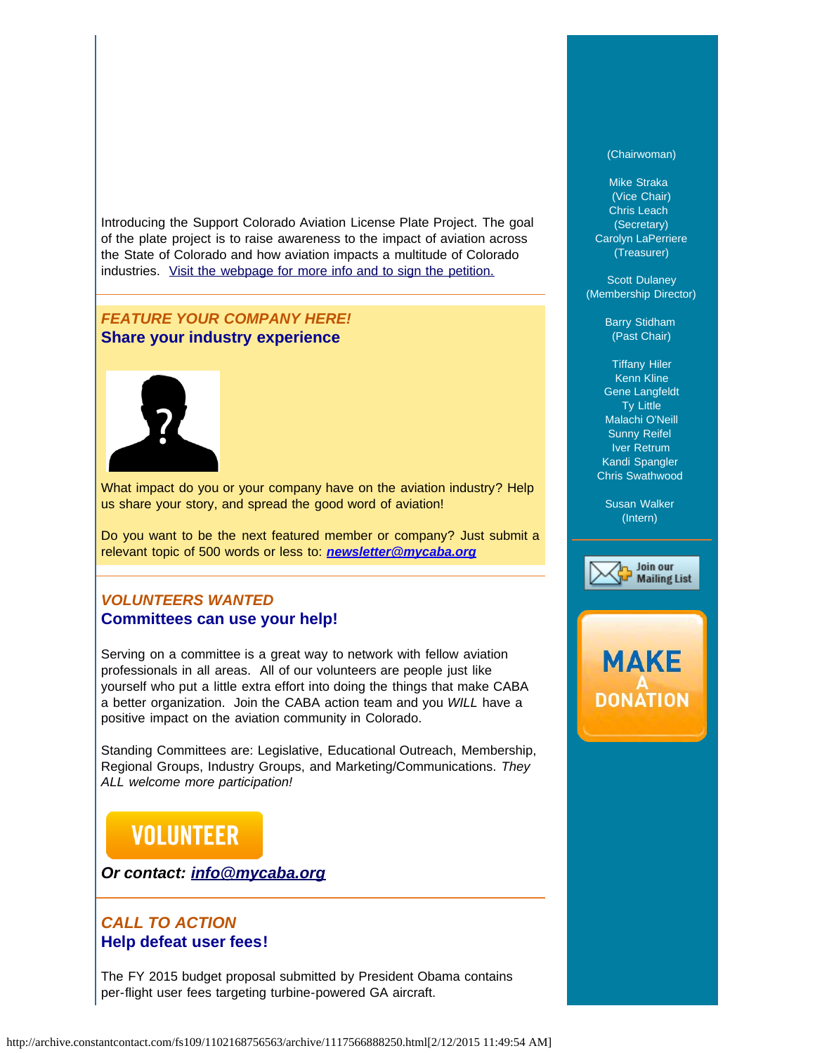Introducing the Support Colorado Aviation License Plate Project. The goal of the plate project is to raise awareness to the impact of aviation across the State of Colorado and how aviation impacts a multitude of Colorado industries. [Visit the webpage for more info and to sign the petition.](http://www.supportcoloradoaviation.com/?utm_source=Newsletter+June+2014&utm_campaign=June+2014+Newsletter&utm_medium=email)

## *FEATURE YOUR COMPANY HERE!* **Share your industry experience**



What impact do you or your company have on the aviation industry? Help us share your story, and spread the good word of aviation!

Do you want to be the next featured member or company? Just submit a relevant topic of 500 words or less to: *[newsletter@mycaba.org](mailto:bdavies@mycaba.org)* 

#### *VOLUNTEERS WANTED* **Committees can use your help!**

Serving on a committee is a great way to network with fellow aviation professionals in all areas. All of our volunteers are people just like yourself who put a little extra effort into doing the things that make CABA a better organization. Join the CABA action team and you *WILL* have a positive impact on the aviation community in Colorado.

Standing Committees are: Legislative, Educational Outreach, Membership, Regional Groups, Industry Groups, and Marketing/Communications. *They ALL welcome more participation!*

## **VOLUNTEER**

*Or contact: [info@mycaba.org](mailto:info@mycaba.org)*

## *CALL TO ACTION*  **Help defeat user fees!**

The FY 2015 budget proposal submitted by President Obama contains per-flight user fees targeting turbine-powered GA aircraft.

#### (Chairwoman)

Mike Straka (Vice Chair) Chris Leach (Secretary) Carolyn LaPerriere (Treasurer)

Scott Dulaney (Membership Director)

> Barry Stidham (Past Chair)

Tiffany Hiler Kenn Kline Gene Langfeldt Ty Little Malachi O'Neill Sunny Reifel Iver Retrum Kandi Spangler Chris Swathwood

Susan Walker (Intern)



# **MAKE DONATION**

http://archive.constantcontact.com/fs109/1102168756563/archive/1117566888250.html[2/12/2015 11:49:54 AM]